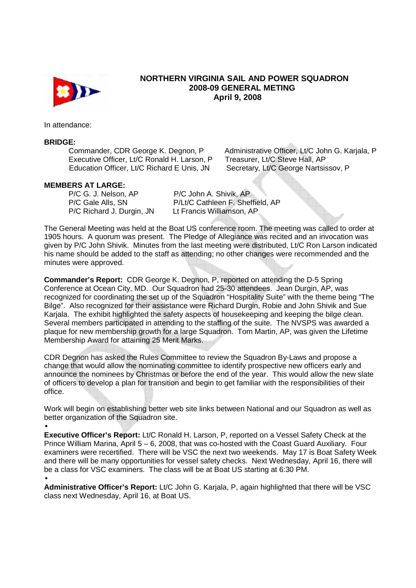

## **NORTHERN VIRGINIA SAIL AND POWER SQUADRON 2008-09 GENERAL METING April 9, 2008**

In attendance:

#### **BRIDGE:**

Executive Officer, Lt/C Ronald H. Larson, P Treasurer, Lt/C Steve Hall, AP Education Officer, Lt/C Richard E Unis, JN Secretary, Lt/C George Nartsissov, P

Commander, CDR George K. Degnon, P Administrative Officer, Lt/C John G. Karjala, P

### **MEMBERS AT LARGE:**

P/C G. J. Nelson, AP P/C John A. Shivik, AP P/C Richard J. Durgin, JN

P/C Gale Alls, SN P/Lt/C Cathleen F. Sheffield, AP<br>P/C Richard J. Durgin. JN Lt Francis Williamson. AP

The General Meeting was held at the Boat US conference room. The meeting was called to order at 1905 hours. A quorum was present. The Pledge of Allegiance was recited and an invocation was given by P/C John Shivik. Minutes from the last meeting were distributed, Lt/C Ron Larson indicated his name should be added to the staff as attending; no other changes were recommended and the minutes were approved.

**Commander's Report:** CDR George K. Degnon, P, reported on attending the D-5 Spring Conference at Ocean City, MD. Our Squadron had 25-30 attendees. Jean Durgin, AP, was recognized for coordinating the set up of the Squadron "Hospitality Suite" with the theme being "The Bilge". Also recognized for their assistance were Richard Durgin, Robie and John Shivik and Sue Karjala. The exhibit highlighted the safety aspects of housekeeping and keeping the bilge clean. Several members participated in attending to the staffing of the suite. The NVSPS was awarded a plaque for new membership growth for a large Squadron. Tom Martin, AP, was given the Lifetime Membership Award for attaining 25 Merit Marks.

CDR Degnon has asked the Rules Committee to review the Squadron By-Laws and propose a change that would allow the nominating committee to identify prospective new officers early and announce the nominees by Christmas or before the end of the year. This would allow the new slate of officers to develop a plan for transition and begin to get familiar with the responsibilities of their office.

Work will begin on establishing better web site links between National and our Squadron as well as better organization of the Squadron site.

**Executive Officer's Report:** Lt/C Ronald H. Larson, P, reported on a Vessel Safety Check at the Prince William Marina, April 5 – 6, 2008, that was co-hosted with the Coast Guard Auxiliary. Four examiners were recertified. There will be VSC the next two weekends. May 17 is Boat Safety Week and there will be many opportunities for vessel safety checks. Next Wednesday, April 16, there will be a class for VSC examiners. The class will be at Boat US starting at 6:30 PM.

•

**Administrative Officer's Report:** Lt/C John G. Karjala, P, again highlighted that there will be VSC class next Wednesday, April 16, at Boat US.

<sup>•</sup>